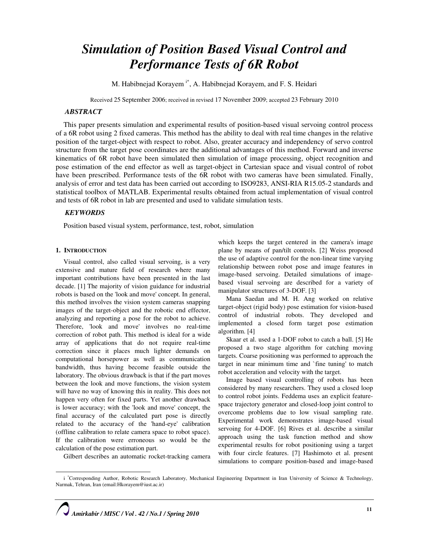# Simulation of Position Based Visual Control and Performance Tests of 6R Robot

M. Habibnejad Korayem i\*, A. Habibnejad Korayem, and F. S. Heidari

Received 25 September 2006; received in revised 17 November 2009; accepted 23 February 2010

# **ABSTRACT**

This paper presents simulation and experimental results of position-based visual servoing control process of a 6R robot using 2 fixed cameras. This method has the ability to deal with real time changes in the relative position of the target-object with respect to robot. Also, greater accuracy and independency of servo control structure from the target pose coordinates are the additional advantages of this method. Forward and inverse kinematics of 6R robot have been simulated then simulation of image processing, object recognition and pose estimation of the end effector as well as target-object in Cartesian space and visual control of robot have been prescribed. Performance tests of the 6R robot with two cameras have been simulated. Finally, analysis of error and test data has been carried out according to ISO9283, ANSI-RIA R15.05-2 standards and statistical toolbox of MATLAB. Experimental results obtained from actual implementation of visual control and tests of 6R robot in lab are presented and used to validate simulation tests.

# **KEYWORDS**

Position based visual system, performance, test, robot, simulation

#### 1. INTRODUCTION

 $\overline{a}$ 

Visual control, also called visual servoing, is a very extensive and mature field of research where many important contributions have been presented in the last decade. [1] The majority of vision guidance for industrial robots is based on the 'look and move' concept. In general, this method involves the vision system cameras snapping images of the target-object and the robotic end effector, analyzing and reporting a pose for the robot to achieve. Therefore, 'look and move' involves no real-time correction of robot path. This method is ideal for a wide array of applications that do not require real-time correction since it places much lighter demands on computational horsepower as well as communication bandwidth, thus having become feasible outside the laboratory. The obvious drawback is that if the part moves between the look and move functions, the vision system will have no way of knowing this in reality. This does not happen very often for fixed parts. Yet another drawback is lower accuracy; with the 'look and move' concept, the final accuracy of the calculated part pose is directly related to the accuracy of the 'hand-eye' calibration (offline calibration to relate camera space to robot space). If the calibration were erroneous so would be the calculation of the pose estimation part.

which keeps the target centered in the camera's image plane by means of pan/tilt controls. [2] Weiss proposed the use of adaptive control for the non-linear time varying relationship between robot pose and image features in image-based servoing. Detailed simulations of imagebased visual servoing are described for a variety of manipulator structures of 3-DOF. [3]

Mana Saedan and M. H. Ang worked on relative target-object (rigid body) pose estimation for vision-based control of industrial robots. They developed and implemented a closed form target pose estimation algorithm. [4]

Skaar et al. used a 1-DOF robot to catch a ball. [5] He proposed a two stage algorithm for catching moving targets. Coarse positioning was performed to approach the target in near minimum time and `fine tuning' to match robot acceleration and velocity with the target.

Image based visual controlling of robots has been considered by many researchers. They used a closed loop to control robot joints. Feddema uses an explicit featurespace trajectory generator and closed-loop joint control to overcome problems due to low visual sampling rate. Experimental work demonstrates image-based visual servoing for 4-DOF. [6] Rives et al. describe a similar approach using the task function method and show experimental results for robot positioning using a target with four circle features. [7] Hashimoto et al. present simulations to compare position-based and image-based

Gilbert describes an automatic rocket-tracking camera

i \*Corresponding Author, Robotic Research Laboratory, Mechanical Engineering Department in Iran University of Science & Technology, Narmak, Tehran, Iran (email:Hkorayem@iust.ac.ir)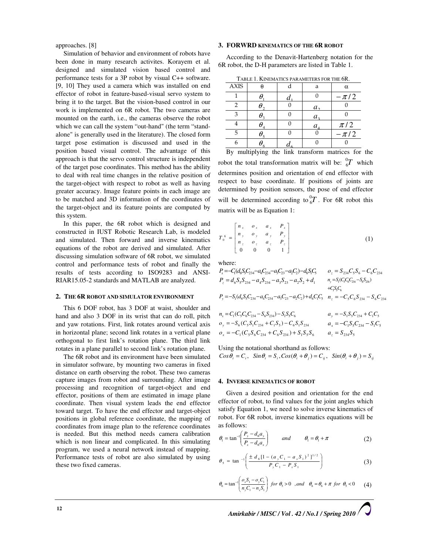approaches. [8]

Simulation of behavior and environment of robots have been done in many research activites. Korayem et al. designed and simulated vision based control and performance tests for a 3P robot by visual C++ software. [9, 10] They used a camera which was installed on end effector of robot in feature-based-visual servo system to bring it to the target. But the vision-based control in our work is implemented on 6R robot. The two cameras are mounted on the earth, i.e., the cameras observe the robot which we can call the system "out-hand" (the term "standalone" is generally used in the literature). The closed form target pose estimation is discussed and used in the position based visual control. The advantage of this approach is that the servo control structure is independent of the target pose coordinates. This method has the ability to deal with real time changes in the relative position of the target-object with respect to robot as well as having greater accuracy. Image feature points in each image are to be matched and 3D information of the coordinates of the target-object and its feature points are computed by this system.

In this paper, the 6R robot which is designed and constructed in IUST Robotic Research Lab, is modeled and simulated. Then forward and inverse kinematics equations of the robot are derived and simulated. After discussing simulation software of 6R robot, we simulated control and performance tests of robot and finally the results of tests according to ISO9283 and ANSI-RIAR15.05-2 standards and MATLAB are analyzed.

#### 2. THE 6R ROBOT AND SIMULATOR ENVIRONMENT

This 6 DOF robot, has 3 DOF at waist, shoulder and hand and also 3 DOF in its wrist that can do roll, pitch and yaw rotations. First, link rotates around vertical axis in horizontal plane; second link rotates in a vertical plane orthogonal to first link's rotation plane. The third link rotates in a plane parallel to second link's rotation plane.

The 6R robot and its environment have been simulated in simulator software, by mounting two cameras in fixed distance on earth observing the robot. These two cameras capture images from robot and surrounding. After image processing and recognition of target-object and end effector, positions of them are estimated in image plane coordinate. Then visual system leads the end effector toward target. To have the end effector and target-object positions in global reference coordinate, the mapping of coordinates from image plan to the reference coordinates is needed. But this method needs camera calibration which is non linear and complicated. In this simulating program, we used a neural network instead of mapping. Performance tests of robot are also simulated by using these two fixed cameras.

#### 3. FORWRD KINEMATICS OF THE 6R ROBOT

According to the Denavit-Hartenberg notation for the 6R robot, the D-H parameters are listed in Table 1.

| TABLE 1. KINEMATICS PARAMETERS FOR THE 6R. |  |
|--------------------------------------------|--|
|                                            |  |

| <b>AXIS</b> |  | a                          | $\alpha$ |
|-------------|--|----------------------------|----------|
|             |  |                            | $-\pi/2$ |
|             |  | $a_{\gamma}$               |          |
| з           |  | a <sub>3</sub>             |          |
|             |  | $a_{\scriptscriptstyle A}$ | $\pi/2$  |
|             |  |                            | $-\pi/2$ |
|             |  |                            |          |

By multiplying the link transform matrices for the robot the total transformation matrix will be:  ${}^{0}_{6}T$  which determines position and orientation of end effector with respect to base coordinate. If positions of joints are determined by position sensors, the pose of end effector will be determined according to  ${}_{6}^{0}T$ . For 6R robot this matrix will be as Equation 1:

$$
T_0^6 = \begin{bmatrix} n_x & o_x & a_x & P_x \\ n_y & o_y & a_y & P_y \\ n_z & o_z & a_z & P_z \\ 0 & 0 & 0 & 1 \end{bmatrix}
$$
 (1)

where:

$$
\begin{aligned} P_x=&-C_1(d_6S_5C_{234}-a_4C_{234}-a_5C_{23}-a_2C_2)-d_6S_1C_5 &\qquad o_z=S_{234}C_sS_6-C_6C_{234}\\ P_z&=d_6S_5S_{234}-a_4S_{234}-a_3S_{23}-a_2S_2+d_1 &\qquad \eta_y=S_1(G_5C_6C_{234}-S_6S_{234})\\ +&\qquad \qquad +C_1S_3C_6\\ P_y=&-S_1(d_6S_5C_{234}-a_4C_{234}-a_3C_{23}-a_2C_2)+d_6C_1C_5 &\qquad v_z=-C_5C_6S_{234}-S_6C_{234} \end{aligned}
$$

$$
n_x = C_1(C_5C_6C_{234} - S_6S_{234}) - S_1S_5C_6
$$
  
\n
$$
a_y = -S_1S_5C_{234} + C_1C_5
$$
  
\n
$$
o_y = -S_6(C_5S_1C_{234} + C_1S_5) - C_6S_1S_{234}
$$
  
\n
$$
a_x = -C_1S_5C_{234} - S_1C_5
$$
  
\n
$$
o_x = -C_1(C_5S_6C_{234} + C_6S_{234}) + S_1S_5S_6
$$
  
\n
$$
a_z = S_{234}S_5
$$

Using the notational shorthand as follows:

 $Cos\theta_i = C_i$ ,  $Sin\theta_i = S_i$ ,  $Cos(\theta_i + \theta_i) = C_{ii}$ ,  $Sin(\theta_i + \theta_i) = S_{ii}$ 

#### 4. INVERSE KINEMATICS OF ROBOT

Given a desired position and orientation for the end effector of robot, to find values for the joint angles which satisfy Equation 1, we need to solve inverse kinematics of robot. For 6R robot, inverse kinematics equations will be as follows:

$$
\theta_{1} = \tan^{-1}\left(\frac{P_{y} - d_{6}a_{y}}{P_{x} - d_{6}a_{x}}\right) \qquad \text{and} \qquad \theta_{1} = \theta_{1} + \pi \tag{2}
$$

$$
\theta_{5} = \tan^{-1}\left(\frac{\pm d_{6}[1 - (a_{y}C_{1} - a_{x}S_{1})^{2}]^{1/2}}{P_{y}C_{1} - P_{x}S_{1}}\right)
$$
(3)

$$
\theta_6 = \tan^{-1} \left( \frac{\sigma_s S_1 - \sigma_s C_1}{n_s C_1 - n_s S_1} \right) \text{ for } \theta_5 > 0 \quad \text{,} \quad \theta_6 = \theta_6 + \pi \text{ for } \theta_5 < 0 \tag{4}
$$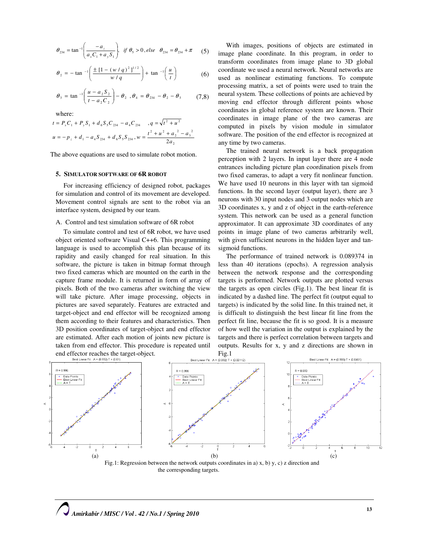$$
\theta_{234} = \tan^{-1} \left( \frac{-a_z}{a_x C_1 + a_y S_1} \right), \text{ if } \theta_5 > 0, \text{ else } \theta_{234} = \theta_{234} + \pi \quad (5)
$$

$$
\theta_2 = -\tan^{-1}\left(\frac{\pm \left[1 - (w/q)^2\right]^{1/2}}{w/q}\right) + \tan^{-1}\left(\frac{u}{t}\right) \tag{6}
$$

$$
\theta_3 = \tan^{-1}\left(\frac{u - a_2 S_2}{t - a_2 C_2}\right) - \theta_2 \quad , \theta_4 = \theta_{234} - \theta_2 - \theta_3 \tag{7.8}
$$

where:

$$
t = P_x C_1 + P_y S_1 + d_6 S_5 C_{234} - a_4 C_{234} , q = \sqrt{t^2 + u^2}
$$
  

$$
u = -p_z + d_1 - a_4 S_{234} + d_6 S_5 S_{234}, w = \frac{t^2 + u^2 + a_2^2 - a_3^2}{2a_2}
$$

The above equations are used to simulate robot motion.

#### 5. SIMULATOR SOFTWARE OF 6R ROBOT

For increasing efficiency of designed robot, packages for simulation and control of its movement are developed. Movement control signals are sent to the robot via an interface system, designed by our team.

#### A. Control and test simulation software of 6R robot

To simulate control and test of 6R robot, we have used object oriented software Visual C++6. This programming language is used to accomplish this plan because of its rapidity and easily changed for real situation. In this software, the picture is taken in bitmap format through two fixed cameras which are mounted on the earth in the capture frame module. It is returned in form of array of pixels. Both of the two cameras after switching the view will take picture. After image processing, objects in pictures are saved separately. Features are extracted and target-object and end effector will be recognized among them according to their features and characteristics. Then 3D position coordinates of target-object and end effector are estimated. After each motion of joints new picture is taken from end effector. This procedure is repeated until end effector reaches the target-object.

With images, positions of objects are estimated in image plane coordinate. In this program, in order to transform coordinates from image plane to 3D global coordinate we used a neural network. Neural networks are used as nonlinear estimating functions. To compute processing matrix, a set of points were used to train the neural system. These collections of points are achieved by moving end effector through different points whose coordinates in global reference system are known. Their coordinates in image plane of the two cameras are computed in pixels by vision module in simulator software. The position of the end effector is recognized at any time by two cameras.

The trained neural network is a back propagation perception with 2 layers. In input layer there are 4 node entrances including picture plan coordination pixels from two fixed cameras, to adapt a very fit nonlinear function. We have used 10 neurons in this layer with tan sigmoid functions. In the second layer (output layer), there are 3 neurons with 30 input nodes and 3 output nodes which are 3D coordinates x, y and z of object in the earth-reference system. This network can be used as a general function approximator. It can approximate 3D coordinates of any points in image plane of two cameras arbitrarily well, with given sufficient neurons in the hidden layer and tansigmoid functions.

The performance of trained network is 0.089374 in less than 40 iterations (epochs). A regression analysis between the network response and the corresponding targets is performed. Network outputs are plotted versus the targets as open circles (Fig.1). The best linear fit is indicated by a dashed line. The perfect fit (output equal to targets) is indicated by the solid line. In this trained net, it is difficult to distinguish the best linear fit line from the perfect fit line, because the fit is so good. It is a measure of how well the variation in the output is explained by the targets and there is perfect correlation between targets and outputs. Results for x, y and z directions are shown in Fig.1



the corresponding targets.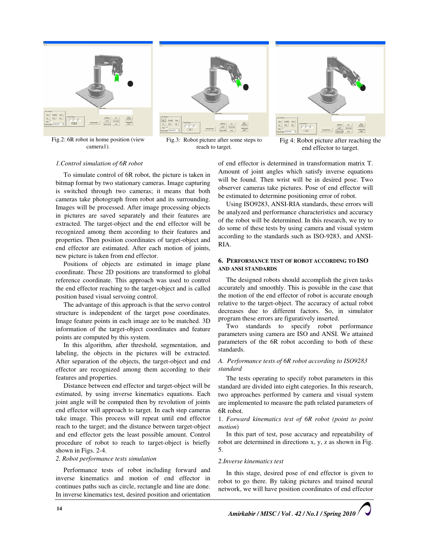

Fig.2: 6R robot in home position (view camera1).



Fig.3: Robot picture after some steps to reach to target.



Fig 4: Robot picture after reaching the end effector to target.

#### 1.Control simulation of 6R robot

To simulate control of 6R robot, the picture is taken in bitmap format by two stationary cameras. Image capturing is switched through two cameras; it means that both cameras take photograph from robot and its surrounding. Images will be processed. After image processing objects in pictures are saved separately and their features are extracted. The target-object and the end effector will be recognized among them according to their features and properties. Then position coordinates of target-object and end effector are estimated. After each motion of joints, new picture is taken from end effector.

Positions of objects are estimated in image plane coordinate. These 2D positions are transformed to global reference coordinate. This approach was used to control the end effector reaching to the target-object and is called position based visual servoing control.

The advantage of this approach is that the servo control structure is independent of the target pose coordinates. Image feature points in each image are to be matched. 3D information of the target-object coordinates and feature points are computed by this system.

In this algorithm, after threshold, segmentation, and labeling, the objects in the pictures will be extracted. After separation of the objects, the target-object and end effector are recognized among them according to their features and properties.

Distance between end effector and target-object will be estimated, by using inverse kinematics equations. Each joint angle will be computed then by revolution of joints end effector will approach to target. In each step cameras take image. This process will repeat until end effector reach to the target; and the distance between target-object and end effector gets the least possible amount. Control procedure of robot to reach to target-object is briefly shown in Figs. 2-4.

#### 2. Robot performance tests simulation

Performance tests of robot including forward and inverse kinematics and motion of end effector in continues paths such as circle, rectangle and line are done. In inverse kinematics test, desired position and orientation of end effector is determined in transformation matrix T. Amount of joint angles which satisfy inverse equations will be found. Then wrist will be in desired pose. Two observer cameras take pictures. Pose of end effector will be estimated to determine positioning error of robot.

Using ISO9283, ANSI-RIA standards, these errors will be analyzed and performance characteristics and accuracy of the robot will be determined. In this research, we try to do some of these tests by using camera and visual system according to the standards such as ISO-9283, and ANSI-RIA.

#### 6. PERFORMANCE TEST OF ROBOT ACCORDING TO ISO AND ANSI STANDARDS

The designed robots should accomplish the given tasks accurately and smoothly. This is possible in the case that the motion of the end effector of robot is accurate enough relative to the target-object. The accuracy of actual robot decreases due to different factors. So, in simulator program these errors are figuratively inserted.

Two standards to specify robot performance parameters using camera are ISO and ANSI. We attained parameters of the 6R robot according to both of these standards.

#### A. Performance tests of 6R robot according to ISO9283 standard

The tests operating to specify robot parameters in this standard are divided into eight categories. In this research, two approaches performed by camera and visual system are implemented to measure the path related parameters of 6R robot.

1. Forward kinematics test of 6R robot (point to point motion)

In this part of test, pose accuracy and repeatability of robot are determined in directions x, y, z as shown in Fig. 5.

# 2.Inverse kinematics test

In this stage, desired pose of end effector is given to robot to go there. By taking pictures and trained neural network, we will have position coordinates of end effector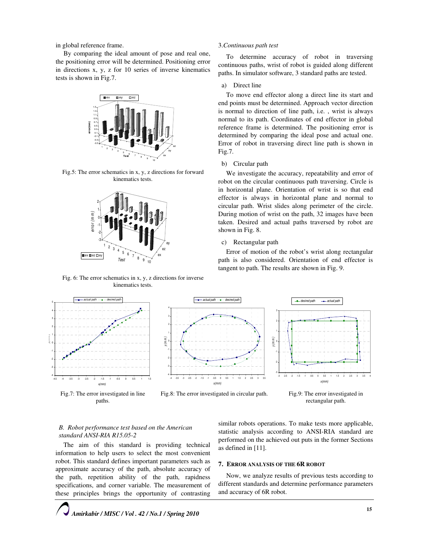in global reference frame.

By comparing the ideal amount of pose and real one, the positioning error will be determined. Positioning error in directions x, y, z for 10 series of inverse kinematics tests is shown in Fig.7.



Fig.5: The error schematics in x, y, z directions for forward kinematics tests.



Fig. 6: The error schematics in x, y, z directions for inverse kinematics tests.



Fig.7: The error investigated in line paths.

# 3.Continuous path test

To determine accuracy of robot in traversing continuous paths, wrist of robot is guided along different paths. In simulator software, 3 standard paths are tested.

#### a) Direct line

To move end effector along a direct line its start and end points must be determined. Approach vector direction is normal to direction of line path, i.e. , wrist is always normal to its path. Coordinates of end effector in global reference frame is determined. The positioning error is determined by comparing the ideal pose and actual one. Error of robot in traversing direct line path is shown in Fig.7.

#### b) Circular path

We investigate the accuracy, repeatability and error of robot on the circular continuous path traversing. Circle is in horizontal plane. Orientation of wrist is so that end effector is always in horizontal plane and normal to circular path. Wrist slides along perimeter of the circle. During motion of wrist on the path, 32 images have been taken. Desired and actual paths traversed by robot are shown in Fig. 8.

## c) Rectangular path

Error of motion of the robot's wrist along rectangular path is also considered. Orientation of end effector is tangent to path. The results are shown in Fig. 9.



Fig.8: The error investigated in circular path.

Fig.9: The error investigated in rectangular path.

### B. Robot performance test based on the American standard ANSI-RIA R15.05-2

The aim of this standard is providing technical information to help users to select the most convenient robot. This standard defines important parameters such as approximate accuracy of the path, absolute accuracy of the path, repetition ability of the path, rapidness specifications, and corner variable. The measurement of these principles brings the opportunity of contrasting

similar robots operations. To make tests more applicable, statistic analysis according to ANSI-RIA standard are performed on the achieved out puts in the former Sections as defined in [11].

#### 7. ERROR ANALYSIS OF THE 6R ROBOT

Now, we analyze results of previous tests according to different standards and determine performance parameters and accuracy of 6R robot.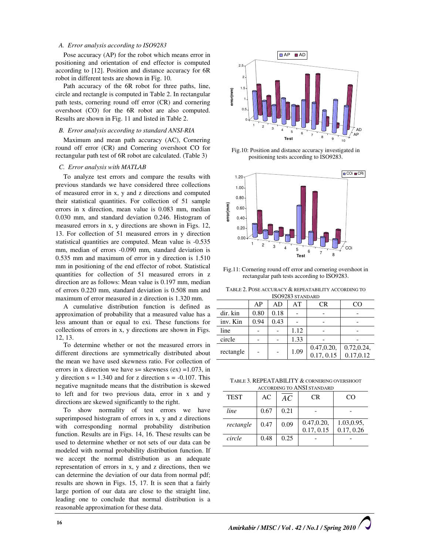#### A. Error analysis according to ISO9283

Pose accuracy (AP) for the robot which means error in positioning and orientation of end effector is computed according to [12]. Position and distance accuracy for 6R robot in different tests are shown in Fig. 10.

Path accuracy of the 6R robot for three paths, line, circle and rectangle is computed in Table 2. In rectangular path tests, cornering round off error (CR) and cornering overshoot (CO) for the 6R robot are also computed. Results are shown in Fig. 11 and listed in Table 2.

#### B. Error analysis according to standard ANSI-RIA

Maximum and mean path accuracy (AC), Cornering round off error (CR) and Cornering overshoot CO for rectangular path test of 6R robot are calculated. (Table 3)

#### C. Error analysis with MATLAB

To analyze test errors and compare the results with previous standards we have considered three collections of measured error in x, y and z directions and computed their statistical quantities. For collection of 51 sample errors in x direction, mean value is 0.083 mm, median 0.030 mm, and standard deviation 0.246. Histogram of measured errors in x, y directions are shown in Figs. 12, 13. For collection of 51 measured errors in y direction statistical quantities are computed. Mean value is -0.535 mm, median of errors -0.090 mm, standard deviation is 0.535 mm and maximum of error in y direction is 1.510 mm in positioning of the end effector of robot. Statistical quantities for collection of 51 measured errors in z direction are as follows: Mean value is 0.197 mm, median of errors 0.220 mm, standard deviation is 0.508 mm and maximum of error measured in z direction is 1.320 mm.

A cumulative distribution function is defined as approximation of probability that a measured value has a less amount than or equal to exi. These functions for collections of errors in x, y directions are shown in Figs. 12, 13.

To determine whether or not the measured errors in different directions are symmetrically distributed about the mean we have used skewness ratio. For collection of errors in x direction we have  $s=$  skewness (ex) =1.073, in y direction  $s = 1.340$  and for z direction  $s = -0.107$ . This negative magnitude means that the distribution is skewed to left and for two previous data, error in x and y directions are skewed significantly to the right.

To show normality of test errors we have superimposed histogram of errors in x, y and z directions with corresponding normal probability distribution function. Results are in Figs. 14, 16. These results can be used to determine whether or not sets of our data can be modeled with normal probability distribution function. If we accept the normal distribution as an adequate representation of errors in x, y and z directions, then we can determine the deviation of our data from normal pdf; results are shown in Figs. 15, 17. It is seen that a fairly large portion of our data are close to the straight line, leading one to conclude that normal distribution is a reasonable approximation for these data.



Fig.10: Position and distance accuracy investigated in positioning tests according to ISO9283.



Fig.11: Cornering round off error and cornering overshoot in rectangular path tests according to ISO9283.

TABLE 2. POSE ACCURACY & REPEATABILITY ACCORDING TO

| ISO9283 STANDARD |      |      |             |             |           |  |
|------------------|------|------|-------------|-------------|-----------|--|
|                  | AP   | AD   | AT          | CR          | CO        |  |
| dir. kin         | 0.80 | 0.18 |             |             |           |  |
| inv. Kin         | 0.94 | 0.43 |             |             |           |  |
| line             |      |      | 1.12        |             |           |  |
| circle           |      |      | 1.33        |             |           |  |
| rectangle        |      | 1.09 | 0.47, 0.20, | 0.72, 0.24, |           |  |
|                  |      |      |             | 0.17, 0.15  | 0.17,0.12 |  |

TABLE 3. REPEATABILITY & CORNERING OVERSHOOT

| <b>ACCORDING TO ANSI STANDARD</b> |      |      |                           |                          |  |  |
|-----------------------------------|------|------|---------------------------|--------------------------|--|--|
| <b>TEST</b>                       | AC   | AC   | CR.                       | CO                       |  |  |
| line                              | 0.67 | 0.21 |                           |                          |  |  |
| rectangle                         | 0.47 | 0.09 | 0.47, 0.20,<br>0.17, 0.15 | 1.03,0.95,<br>0.17, 0.26 |  |  |
| circle                            | 0.48 | 0.25 |                           |                          |  |  |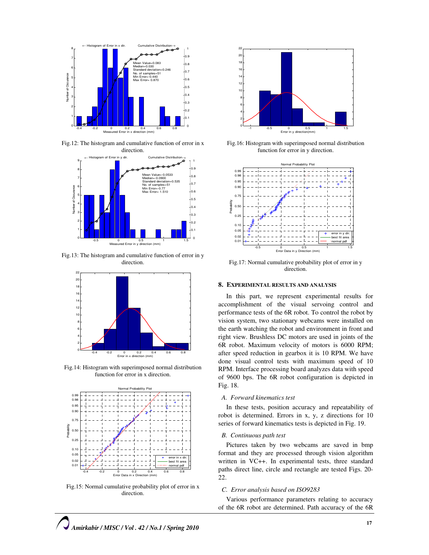

Fig.12: The histogram and cumulative function of error in x



Fig.13: The histogram and cumulative function of error in y direction.



Fig.14: Histogram with superimposed normal distribution function for error in x direction.



Fig.15: Normal cumulative probability plot of error in x direction.



Fig.16: Histogram with superimposed normal distribution function for error in y direction.



Fig.17: Normal cumulative probability plot of error in y direction.

#### 8. EXPERIMENTAL RESULTS AND ANALYSIS

In this part, we represent experimental results for accomplishment of the visual servoing control and performance tests of the 6R robot. To control the robot by vision system, two stationary webcams were installed on the earth watching the robot and environment in front and right view. Brushless DC motors are used in joints of the 6R robot. Maximum velocity of motors is 6000 RPM; after speed reduction in gearbox it is 10 RPM. We have done visual control tests with maximum speed of 10 RPM. Interface processing board analyzes data with speed of 9600 bps. The 6R robot configuration is depicted in Fig. 18.

#### A. Forward kinematics test

In these tests, position accuracy and repeatability of robot is determined. Errors in x, y, z directions for 10 series of forward kinematics tests is depicted in Fig. 19.

#### B. Continuous path test

Pictures taken by two webcams are saved in bmp format and they are processed through vision algorithm written in VC++. In experimental tests, three standard paths direct line, circle and rectangle are tested Figs. 20- 22.

#### C. Error analysis based on ISO9283

Various performance parameters relating to accuracy of the 6R robot are determined. Path accuracy of the 6R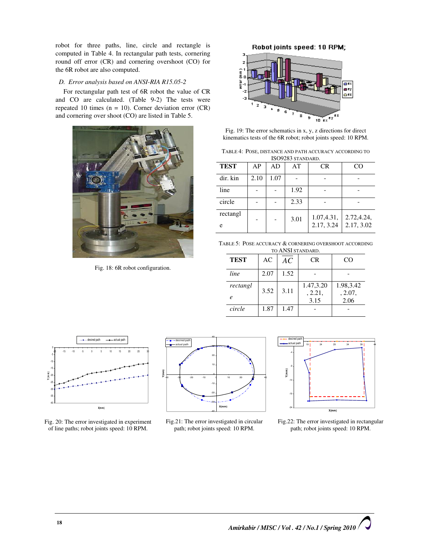robot for three paths, line, circle and rectangle is computed in Table 4. In rectangular path tests, cornering round off error (CR) and cornering overshoot (CO) for the 6R robot are also computed.

# D. Error analysis based on ANSI-RIA R15.05-2

For rectangular path test of 6R robot the value of CR and CO are calculated. (Table 9-2) The tests were repeated 10 times (n = 10). Corner deviation error (CR) and cornering over shoot (CO) are listed in Table 5.



Fig. 18: 6R robot configuration.



Fig. 19: The error schematics in x, y, z directions for direct kinematics tests of the 6R robot; robot joints speed: 10 RPM.

| TABLE 4: POSE, DISTANCE AND PATH ACCURACY ACCORDING TO |
|--------------------------------------------------------|
| ISO9283 STANDARD.                                      |

| <b>TEST</b>   | AP   | AD   | AT   | <b>CR</b>                | CO                       |
|---------------|------|------|------|--------------------------|--------------------------|
| dir. kin      | 2.10 | 1.07 |      |                          |                          |
| line          |      |      | 1.92 |                          |                          |
| circle        |      |      | 2.33 |                          |                          |
| rectangl<br>e |      |      | 3.01 | 1.07,4.31,<br>2.17, 3.24 | 2.72,4.24,<br>2.17, 3.02 |

TABLE 5: POSE ACCURACY & CORNERING OVERSHOOT ACCORDING TO ANSI STANDARD.

| <b>TEST</b>         | AC   | AC   | CR                   | CO                   |
|---------------------|------|------|----------------------|----------------------|
| line                | 2.07 | 1.52 |                      |                      |
| rectangl            | 3.52 | 3.11 | 1.47,3.20<br>, 2.21, | 1.98,3.42<br>, 2.07, |
| $\boldsymbol{\rho}$ |      |      | 3.15                 | 2.06                 |
| circle              | 1.87 | 1.47 |                      |                      |



Fig. 20: The error investigated in experiment of line paths; robot joints speed: 10 RPM.



Fig.21: The error investigated in circular path; robot joints speed: 10 RPM.



Fig.22: The error investigated in rectangular path; robot joints speed: 10 RPM.